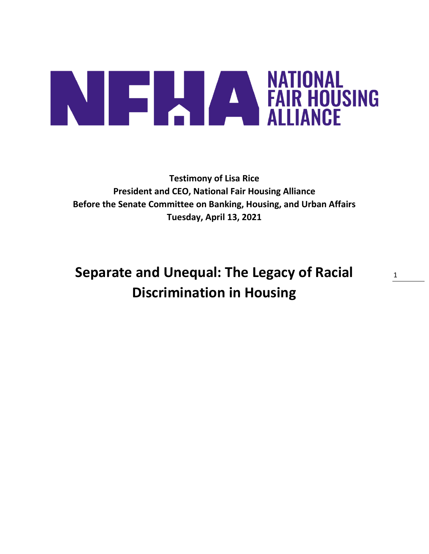# **ANTIONAL PRODUCTS AND ALLIANCE**

**Testimony of Lisa Rice President and CEO, National Fair Housing Alliance Before the Senate Committee on Banking, Housing, and Urban Affairs Tuesday, April 13, 2021** 

**Separate and Unequal: The Legacy of Racial Discrimination in Housing**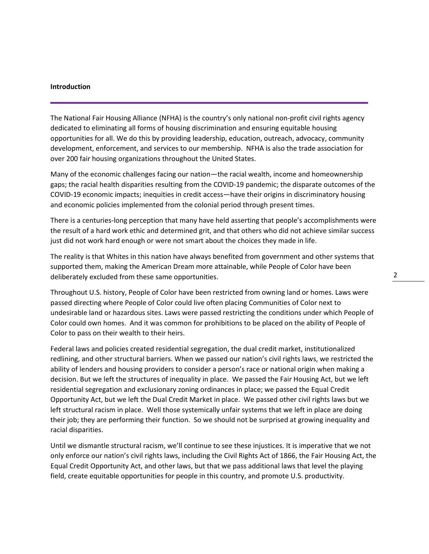### **Introduction**

The National Fair Housing Alliance (NFHA) is the country's only national non-profit civil rights agency dedicated to eliminating all forms of housing discrimination and ensuring equitable housing opportunities for all. We do this by providing leadership, education, outreach, advocacy, community development, enforcement, and services to our membership. NFHA is also the trade association for over 200 fair housing organizations throughout the United States.

Many of the economic challenges facing our nation—the racial wealth, income and homeownership gaps; the racial health disparities resulting from the COVID-19 pandemic; the disparate outcomes of the COVID-19 economic impacts; inequities in credit access—have their origins in discriminatory housing and economic policies implemented from the colonial period through present times.

There is a centuries-long perception that many have held asserting that people's accomplishments were the result of a hard work ethic and determined grit, and that others who did not achieve similar success just did not work hard enough or were not smart about the choices they made in life.

The reality is that Whites in this nation have always benefited from government and other systems that supported them, making the American Dream more attainable, while People of Color have been deliberately excluded from these same opportunities.

Throughout U.S. history, People of Color have been restricted from owning land or homes. Laws were passed directing where People of Color could live often placing Communities of Color next to undesirable land or hazardous sites. Laws were passed restricting the conditions under which People of Color could own homes. And it was common for prohibitions to be placed on the ability of People of Color to pass on their wealth to their heirs.

Federal laws and policies created residential segregation, the dual credit market, institutionalized redlining, and other structural barriers. When we passed our nation's civil rights laws, we restricted the ability of lenders and housing providers to consider a person's race or national origin when making a decision. But we left the structures of inequality in place. We passed the Fair Housing Act, but we left residential segregation and exclusionary zoning ordinances in place; we passed the Equal Credit Opportunity Act, but we left the Dual Credit Market in place. We passed other civil rights laws but we left structural racism in place. Well those systemically unfair systems that we left in place are doing their job; they are performing their function. So we should not be surprised at growing inequality and racial disparities.

Until we dismantle structural racism, we'll continue to see these injustices. It is imperative that we not only enforce our nation's civil rights laws, including the Civil Rights Act of 1866, the Fair Housing Act, the Equal Credit Opportunity Act, and other laws, but that we pass additional laws that level the playing field, create equitable opportunities for people in this country, and promote U.S. productivity.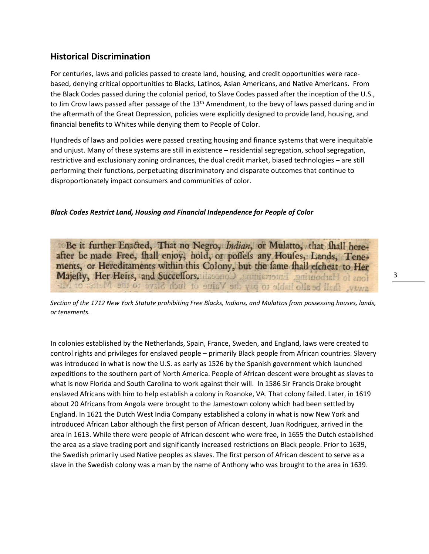# **Historical Discrimination**

For centuries, laws and policies passed to create land, housing, and credit opportunities were racebased, denying critical opportunities to Blacks, Latinos, Asian Americans, and Native Americans. From the Black Codes passed during the colonial period, to Slave Codes passed after the inception of the U.S., to Jim Crow laws passed after passage of the 13<sup>th</sup> Amendment, to the bevy of laws passed during and in the aftermath of the Great Depression, policies were explicitly designed to provide land, housing, and financial benefits to Whites while denying them to People of Color.

Hundreds of laws and policies were passed creating housing and finance systems that were inequitable and unjust. Many of these systems are still in existence – residential segregation, school segregation, restrictive and exclusionary zoning ordinances, the dual credit market, biased technologies – are still performing their functions, perpetuating discriminatory and disparate outcomes that continue to disproportionately impact consumers and communities of color.

# *Black Codes Restrict Land, Housing and Financial Independence for People of Color*

"Be it further Enacted, That no Negro, Indian, or Mulatto, that fhall hereafter be made Free, fhall enjoy, hold, or poffels any Houfes, Lands, Tenements, or Hereditaments within this Colony, but the fame fhall efcheat to Her Majefty, Her Heirs, and Succeffors. illesono a ministroma gnimodull of anot away, fhall be alfo hable to pay the Vaiue of fuch Slave to the Main

*Section of the 1712 New York Statute prohibiting Free Blacks, Indians, and Mulattos from possessing houses, lands, or tenements.*

In colonies established by the Netherlands, Spain, France, Sweden, and England, laws were created to control rights and privileges for enslaved people – primarily Black people from African countries. Slavery was introduced in what is now the U.S. as early as 1526 by the Spanish government which launched expeditions to the southern part of North America. People of African descent were brought as slaves to what is now Florida and South Carolina to work against their will. In 1586 Sir Francis Drake brought enslaved Africans with him to help establish a colony in Roanoke, VA. That colony failed. Later, in 1619 about 20 Africans from Angola were brought to the Jamestown colony which had been settled by England. In 1621 the Dutch West India Company established a colony in what is now New York and introduced African Labor although the first person of African descent, Juan Rodriguez, arrived in the area in 1613. While there were people of African descent who were free, in 1655 the Dutch established the area as a slave trading port and significantly increased restrictions on Black people. Prior to 1639, the Swedish primarily used Native peoples as slaves. The first person of African descent to serve as a slave in the Swedish colony was a man by the name of Anthony who was brought to the area in 1639.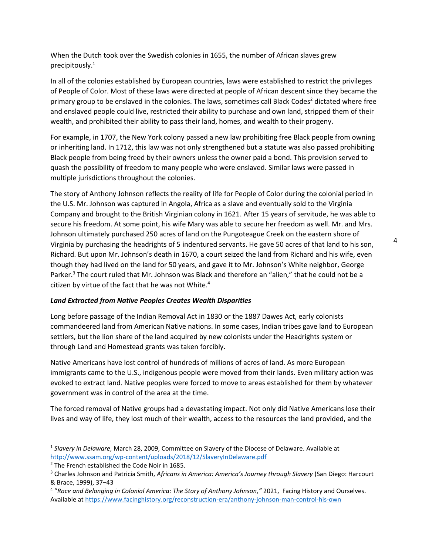When the Dutch took over the Swedish colonies in 1655, the number of African slaves grew precipitously.<sup>1</sup>

In all of the colonies established by European countries, laws were established to restrict the privileges of People of Color. Most of these laws were directed at people of African descent since they became the primary group to be enslaved in the colonies. The laws, sometimes call Black Codes<sup>2</sup> dictated where free and enslaved people could live, restricted their ability to purchase and own land, stripped them of their wealth, and prohibited their ability to pass their land, homes, and wealth to their progeny.

For example, in 1707, the New York colony passed a new law prohibiting free Black people from owning or inheriting land. In 1712, this law was not only strengthened but a statute was also passed prohibiting Black people from being freed by their owners unless the owner paid a bond. This provision served to quash the possibility of freedom to many people who were enslaved. Similar laws were passed in multiple jurisdictions throughout the colonies.

The story of Anthony Johnson reflects the reality of life for People of Color during the colonial period in the U.S. Mr. Johnson was captured in Angola, Africa as a slave and eventually sold to the Virginia Company and brought to the British Virginian colony in 1621. After 15 years of servitude, he was able to secure his freedom. At some point, his wife Mary was able to secure her freedom as well. Mr. and Mrs. Johnson ultimately purchased 250 acres of land on the Pungoteague Creek on the eastern shore of Virginia by purchasing the headrights of 5 indentured servants. He gave 50 acres of that land to his son, Richard. But upon Mr. Johnson's death in 1670, a court seized the land from Richard and his wife, even though they had lived on the land for 50 years, and gave it to Mr. Johnson's White neighbor, George Parker.<sup>3</sup> The court ruled that Mr. Johnson was Black and therefore an "alien," that he could not be a citizen by virtue of the fact that he was not White. 4

# *Land Extracted from Native Peoples Creates Wealth Disparities*

Long before passage of the Indian Removal Act in 1830 or the 1887 Dawes Act, early colonists commandeered land from American Native nations. In some cases, Indian tribes gave land to European settlers, but the lion share of the land acquired by new colonists under the Headrights system or through Land and Homestead grants was taken forcibly.

Native Americans have lost control of hundreds of millions of acres of land. As more European immigrants came to the U.S., indigenous people were moved from their lands. Even military action was evoked to extract land. Native peoples were forced to move to areas established for them by whatever government was in control of the area at the time.

The forced removal of Native groups had a devastating impact. Not only did Native Americans lose their lives and way of life, they lost much of their wealth, access to the resources the land provided, and the

<sup>1</sup> *Slavery in Delaware*, March 28, 2009, Committee on Slavery of the Diocese of Delaware. Available at <http://www.ssam.org/wp-content/uploads/2018/12/SlaveryInDelaware.pdf>

<sup>&</sup>lt;sup>2</sup> The French established the Code Noir in 1685.

<sup>3</sup> Charles Johnson and Patricia Smith, *Africans in America: America's Journey through Slavery* (San Diego: Harcourt & Brace, 1999), 37–43

<sup>4</sup> "*Race and Belonging in Colonial America: The Story of Anthony Johnson,"* 2021, Facing History and Ourselves. Available a[t https://www.facinghistory.org/reconstruction-era/anthony-johnson-man-control-his-own](https://www.facinghistory.org/reconstruction-era/anthony-johnson-man-control-his-own)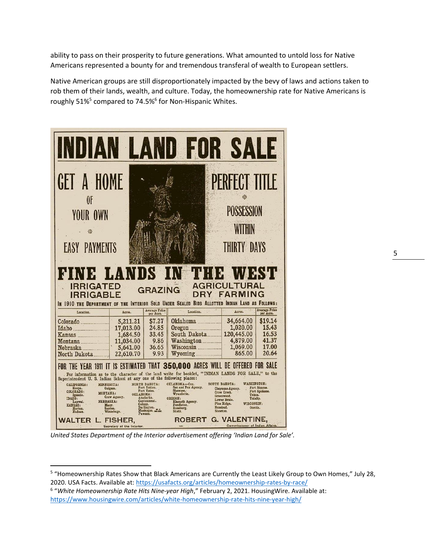ability to pass on their prosperity to future generations. What amounted to untold loss for Native Americans represented a bounty for and tremendous transferal of wealth to European settlers.

Native American groups are still disproportionately impacted by the bevy of laws and actions taken to rob them of their lands, wealth, and culture. Today, the homeownership rate for Native Americans is roughly 51%<sup>5</sup> compared to 74.5%<sup>6</sup> for Non-Hispanic Whites.



*United States Department of the Interior advertisement offering 'Indian Land for Sale'.*

<sup>&</sup>lt;sup>5</sup> "Homeownership Rates Show that Black Americans are Currently the Least Likely Group to Own Homes," July 28, 2020. USA Facts. Available at:<https://usafacts.org/articles/homeownership-rates-by-race/>

<sup>6</sup> "*White Homeownership Rate Hits Nine-year High*," February 2, 2021. HousingWire. Available at: <https://www.housingwire.com/articles/white-homeownership-rate-hits-nine-year-high/>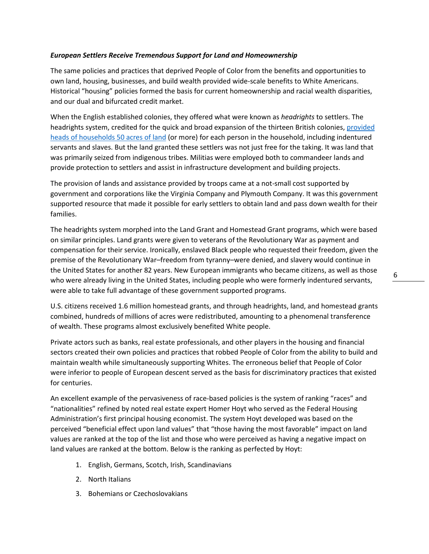# *European Settlers Receive Tremendous Support for Land and Homeownership*

The same policies and practices that deprived People of Color from the benefits and opportunities to own land, housing, businesses, and build wealth provided wide-scale benefits to White Americans. Historical "housing" policies formed the basis for current homeownership and racial wealth disparities, and our dual and bifurcated credit market.

When the English established colonies, they offered what were known as *headrights* to settlers. The headrights system, credited for the quick and broad expansion of the thirteen British colonies, [provided](https://shelterforce.org/2018/08/31/a-review-of-the-fight-for-fair-housing/)  [heads of households 50 acres of land](https://shelterforce.org/2018/08/31/a-review-of-the-fight-for-fair-housing/) (or more) for each person in the household, including indentured servants and slaves. But the land granted these settlers was not just free for the taking. It was land that was primarily seized from indigenous tribes. Militias were employed both to commandeer lands and provide protection to settlers and assist in infrastructure development and building projects.

The provision of lands and assistance provided by troops came at a not-small cost supported by government and corporations like the Virginia Company and Plymouth Company. It was this government supported resource that made it possible for early settlers to obtain land and pass down wealth for their families.

The headrights system morphed into the Land Grant and Homestead Grant programs, which were based on similar principles. Land grants were given to veterans of the Revolutionary War as payment and compensation for their service. Ironically, enslaved Black people who requested their freedom, given the premise of the Revolutionary War–freedom from tyranny–were denied, and slavery would continue in the United States for another 82 years. New European immigrants who became citizens, as well as those who were already living in the United States, including people who were formerly indentured servants, were able to take full advantage of these government supported programs.

U.S. citizens received 1.6 million homestead grants, and through headrights, land, and homestead grants combined, hundreds of millions of acres were redistributed, amounting to a phenomenal transference of wealth. These programs almost exclusively benefited White people.

Private actors such as banks, real estate professionals, and other players in the housing and financial sectors created their own policies and practices that robbed People of Color from the ability to build and maintain wealth while simultaneously supporting Whites. The erroneous belief that People of Color were inferior to people of European descent served as the basis for discriminatory practices that existed for centuries.

An excellent example of the pervasiveness of race-based policies is the system of ranking "races" and "nationalities" refined by noted real estate expert Homer Hoyt who served as the Federal Housing Administration's first principal housing economist. The system Hoyt developed was based on the perceived "beneficial effect upon land values" that "those having the most favorable" impact on land values are ranked at the top of the list and those who were perceived as having a negative impact on land values are ranked at the bottom. Below is the ranking as perfected by Hoyt:

- 1. English, Germans, Scotch, Irish, Scandinavians
- 2. North Italians
- 3. Bohemians or Czechoslovakians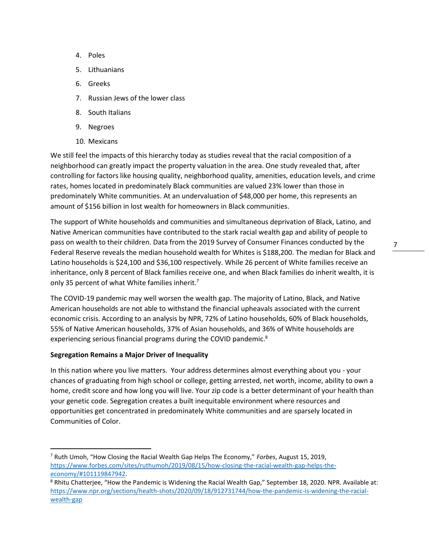$7 \quad -$ 

- 4. Poles
- 5. Lithuanians
- 6. Greeks
- 7. Russian Jews of the lower class
- 8. South Italians
- 9. Negroes
- 10. Mexicans

We still feel the impacts of this hierarchy today as studies reveal that the racial composition of a neighborhood can greatly impact the property valuation in the area. One study revealed that, after controlling for factors like housing quality, neighborhood quality, amenities, education levels, and crime rates, homes located in predominately Black communities are valued 23% lower than those in predominately White communities. At an undervaluation of \$48,000 per home, this represents an amount of \$156 billion in lost wealth for homeowners in Black communities.

The support of White households and communities and simultaneous deprivation of Black, Latino, and Native American communities have contributed to the stark racial wealth gap and ability of people to pass on wealth to their children. Data from the 2019 Survey of Consumer Finances conducted by the Federal Reserve reveals the median household wealth for Whites is \$188,200. The median for Black and Latino households is \$24,100 and \$36,100 respectively. While 26 percent of White families receive an inheritance, only 8 percent of Black families receive one, and when Black families do inherit wealth, it is only 35 percent of what White families inherit.<sup>7</sup>

The COVID-19 pandemic may well worsen the wealth gap. The majority of Latino, Black, and Native American households are not able to withstand the financial upheavals associated with the current economic crisis. According to an analysis by NPR, 72% of Latino households, 60% of Black households, 55% of Native American households, 37% of Asian households, and 36% of White households are experiencing serious financial programs during the COVID pandemic.<sup>8</sup>

# **Segregation Remains a Major Driver of Inequality**

In this nation where you live matters. Your address determines almost everything about you - your chances of graduating from high school or college, getting arrested, net worth, income, ability to own a home, credit score and how long you will live. Your zip code is a better determinant of your health than your genetic code. Segregation creates a built inequitable environment where resources and opportunities get concentrated in predominately White communities and are sparsely located in Communities of Color.

<sup>7</sup> Ruth Umoh, "How Closing the Racial Wealth Gap Helps The Economy," *Forbes*, August 15, 2019, [https://www.forbes.com/sites/ruthumoh/2019/08/15/how-closing-the-racial-wealth-gap-helps-the](https://www.forbes.com/sites/ruthumoh/2019/08/15/how-closing-the-racial-wealth-gap-helps-the-economy/#101119847942)[economy/#101119847942.](https://www.forbes.com/sites/ruthumoh/2019/08/15/how-closing-the-racial-wealth-gap-helps-the-economy/#101119847942)

<sup>&</sup>lt;sup>8</sup> Rhitu Chatterjee, "How the Pandemic is Widening the Racial Wealth Gap," September 18, 2020. NPR. Available at: [https://www.npr.org/sections/health-shots/2020/09/18/912731744/how-the-pandemic-is-widening-the-racial](https://www.npr.org/sections/health-shots/2020/09/18/912731744/how-the-pandemic-is-widening-the-racial-wealth-gap)[wealth-gap](https://www.npr.org/sections/health-shots/2020/09/18/912731744/how-the-pandemic-is-widening-the-racial-wealth-gap)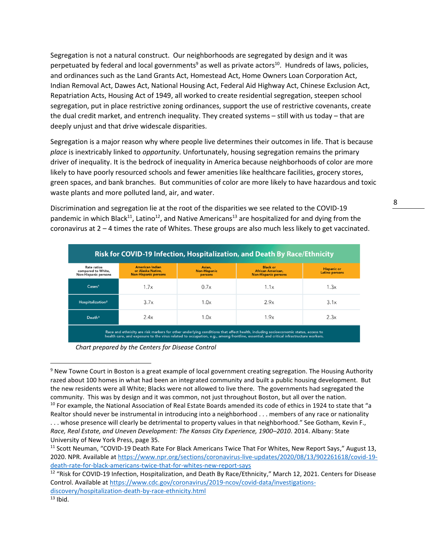Segregation is not a natural construct. Our neighborhoods are segregated by design and it was perpetuated by federal and local governments<sup>9</sup> as well as private actors<sup>10</sup>. Hundreds of laws, policies, and ordinances such as the Land Grants Act, Homestead Act, Home Owners Loan Corporation Act, Indian Removal Act, Dawes Act, National Housing Act, Federal Aid Highway Act, Chinese Exclusion Act, Repatriation Acts, Housing Act of 1949, all worked to create residential segregation, steepen school segregation, put in place restrictive zoning ordinances, support the use of restrictive covenants, create the dual credit market, and entrench inequality. They created systems – still with us today – that are deeply unjust and that drive widescale disparities.

Segregation is a major reason why where people live determines their outcomes in life. That is because *place* is inextricably linked to *opportunity*. Unfortunately, housing segregation remains the primary driver of inequality. It is the bedrock of inequality in America because neighborhoods of color are more likely to have poorly resourced schools and fewer amenities like healthcare facilities, grocery stores, green spaces, and bank branches. But communities of color are more likely to have hazardous and toxic waste plants and more polluted land, air, and water.

Discrimination and segregation lie at the root of the disparities we see related to the COVID-19 pandemic in which Black<sup>11</sup>, Latino<sup>12</sup>, and Native Americans<sup>13</sup> are hospitalized for and dying from the coronavirus at 2 – 4 times the rate of Whites. These groups are also much less likely to get vaccinated.

| Risk for COVID-19 Infection, Hospitalization, and Death By Race/Ethnicity |                                                                            |                                          |                                                                     |                                             |
|---------------------------------------------------------------------------|----------------------------------------------------------------------------|------------------------------------------|---------------------------------------------------------------------|---------------------------------------------|
| <b>Rate ratios</b><br>compared to White,<br><b>Non-Hispanic persons</b>   | <b>American Indian</b><br>or Alaska Native,<br><b>Non-Hispanic persons</b> | Asian,<br><b>Non-Hispanic</b><br>persons | <b>Black or</b><br>African American.<br><b>Non-Hispanic persons</b> | <b>Hispanic or</b><br><b>Latino persons</b> |
| $\text{Case} \mathsf{s}^1$                                                | 1.7x                                                                       | 0.7x                                     | 1.1x                                                                | 1.3x                                        |
| Hospitalization <sup>2</sup>                                              | 3.7x                                                                       | 1.0x                                     | 2.9x                                                                | 3.1x                                        |
| Death <sup>3</sup>                                                        | 2.4x                                                                       | 1.0×                                     | 1.9x                                                                | 2.3x                                        |

*Chart prepared by the Centers for Disease Control*

<sup>9</sup> New Towne Court in Boston is a great example of local government creating segregation. The Housing Authority razed about 100 homes in what had been an integrated community and built a public housing development. But the new residents were all White; Blacks were not allowed to live there. The governments had segregated the community. This was by design and it was common, not just throughout Boston, but all over the nation. <sup>10</sup> For example, the National Association of Real Estate Boards amended its code of ethics in 1924 to state that "a Realtor should never be instrumental in introducing into a neighborhood . . . members of any race or nationality

<sup>.</sup> . . whose presence will clearly be detrimental to property values in that neighborhood." See Gotham, Kevin F., *Race, Real Estate, and Uneven Development: The Kansas City Experience, 1900–2010*. 2014. Albany: State University of New York Press, page 35.

<sup>&</sup>lt;sup>11</sup> Scott Neuman, "COVID-19 Death Rate For Black Americans Twice That For Whites, New Report Says," August 13, 2020. NPR. Available a[t https://www.npr.org/sections/coronavirus-live-updates/2020/08/13/902261618/covid-19](https://www.npr.org/sections/coronavirus-live-updates/2020/08/13/902261618/covid-19-death-rate-for-black-americans-twice-that-for-whites-new-report-says) [death-rate-for-black-americans-twice-that-for-whites-new-report-says](https://www.npr.org/sections/coronavirus-live-updates/2020/08/13/902261618/covid-19-death-rate-for-black-americans-twice-that-for-whites-new-report-says)

<sup>&</sup>lt;sup>12</sup> "Risk for COVID-19 Infection, Hospitalization, and Death By Race/Ethnicity," March 12, 2021. Centers for Disease Control. Available a[t https://www.cdc.gov/coronavirus/2019-ncov/covid-data/investigations](https://www.cdc.gov/coronavirus/2019-ncov/covid-data/investigations-discovery/hospitalization-death-by-race-ethnicity.html)[discovery/hospitalization-death-by-race-ethnicity.html](https://www.cdc.gov/coronavirus/2019-ncov/covid-data/investigations-discovery/hospitalization-death-by-race-ethnicity.html)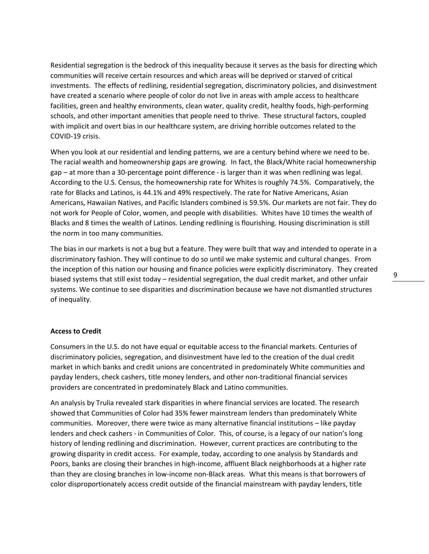Residential segregation is the bedrock of this inequality because it serves as the basis for directing which communities will receive certain resources and which areas will be deprived or starved of critical investments. The effects of redlining, residential segregation, discriminatory policies, and disinvestment have created a scenario where people of color do not live in areas with ample access to healthcare facilities, green and healthy environments, clean water, quality credit, healthy foods, high-performing schools, and other important amenities that people need to thrive. These structural factors, coupled with implicit and overt bias in our healthcare system, are driving horrible outcomes related to the COVID-19 crisis.

When you look at our residential and lending patterns, we are a century behind where we need to be. The racial wealth and homeownership gaps are growing. In fact, the Black/White racial homeownership gap – at more than a 30-percentage point difference - is larger than it was when redlining was legal. According to the U.S. Census, the homeownership rate for Whites is roughly 74.5%. Comparatively, the rate for Blacks and Latinos, is 44.1% and 49% respectively. The rate for Native Americans, Asian Americans, Hawaiian Natives, and Pacific Islanders combined is 59.5%. Our markets are not fair. They do not work for People of Color, women, and people with disabilities. Whites have 10 times the wealth of Blacks and 8 times the wealth of Latinos. Lending redlining is flourishing. Housing discrimination is still the norm in too many communities.

The bias in our markets is not a bug but a feature. They were built that way and intended to operate in a discriminatory fashion. They will continue to do so until we make systemic and cultural changes. From the inception of this nation our housing and finance policies were explicitly discriminatory. They created biased systems that still exist today – residential segregation, the dual credit market, and other unfair systems. We continue to see disparities and discrimination because we have not dismantled structures of inequality.

# **Access to Credit**

Consumers in the U.S. do not have equal or equitable access to the financial markets. Centuries of discriminatory policies, segregation, and disinvestment have led to the creation of the dual credit market in which banks and credit unions are concentrated in predominately White communities and payday lenders, check cashers, title money lenders, and other non-traditional financial services providers are concentrated in predominately Black and Latino communities.

An analysis by Trulia revealed stark disparities in where financial services are located. The research showed that Communities of Color had 35% fewer mainstream lenders than predominately White communities. Moreover, there were twice as many alternative financial institutions – like payday lenders and check cashers - in Communities of Color. This, of course, is a legacy of our nation's long history of lending redlining and discrimination. However, current practices are contributing to the growing disparity in credit access. For example, today, according to one analysis by Standards and Poors, banks are closing their branches in high-income, affluent Black neighborhoods at a higher rate than they are closing branches in low-income non-Black areas. What this means is that borrowers of color disproportionately access credit outside of the financial mainstream with payday lenders, title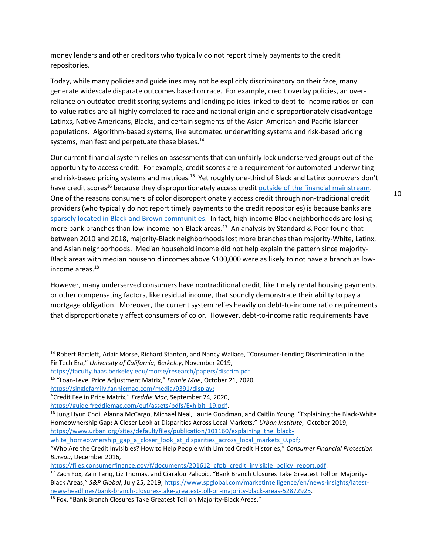money lenders and other creditors who typically do not report timely payments to the credit repositories.

Today, while many policies and guidelines may not be explicitly discriminatory on their face, many generate widescale disparate outcomes based on race. For example, credit overlay policies, an overreliance on outdated credit scoring systems and lending policies linked to debt-to-income ratios or loanto-value ratios are all highly correlated to race and national origin and disproportionately disadvantage Latinxs, Native Americans, Blacks, and certain segments of the Asian-American and Pacific Islander populations. Algorithm-based systems, like automated underwriting systems and risk-based pricing systems, manifest and perpetuate these biases.<sup>14</sup>

Our current financial system relies on assessments that can unfairly lock underserved groups out of the opportunity to access credit. For example, credit scores are a requirement for automated underwriting and risk-based pricing systems and matrices.<sup>15</sup> Yet roughly one-third of Black and Latinx borrowers don't have credit scores<sup>16</sup> because they disproportionately access credit [outside of the financial mainstream.](https://nationalfairhousing.org/access-to-credit/) One of the reasons consumers of color disproportionately access credit through non-traditional credit providers (who typically do not report timely payments to the credit repositories) is because banks are [sparsely located in Black and Brown communities.](https://www.trulia.com/research/50-years-fair-housing/) In fact, high-income Black neighborhoods are losing more bank branches than low-income non-Black areas.<sup>17</sup> An analysis by Standard & Poor found that between 2010 and 2018, majority-Black neighborhoods lost more branches than majority-White, Latinx, and Asian neighborhoods. Median household income did not help explain the pattern since majority-Black areas with median household incomes above \$100,000 were as likely to not have a branch as lowincome areas.<sup>18</sup>

However, many underserved consumers have nontraditional credit, like timely rental housing payments, or other compensating factors, like residual income, that soundly demonstrate their ability to pay a mortgage obligation. Moreover, the current system relies heavily on debt-to-income ratio requirements that disproportionately affect consumers of color. However, debt-to-income ratio requirements have

white homeownership gap a closer look at disparities across local markets 0.pdf;

<sup>14</sup> Robert Bartlett, Adair Morse, Richard Stanton, and Nancy Wallace, "Consumer-Lending Discrimination in the FinTech Era," *University of California, Berkeley*, November 2019,

[https://faculty.haas.berkeley.edu/morse/research/papers/discrim.pdf.](https://faculty.haas.berkeley.edu/morse/research/papers/discrim.pdf)

<sup>15</sup> "Loan-Level Price Adjustment Matrix," *Fannie Mae*, October 21, 2020,

[https://singlefamily.fanniemae.com/media/9391/display;](https://singlefamily.fanniemae.com/media/9391/display)

<sup>&</sup>quot;Credit Fee in Price Matrix," *Freddie Mac*, September 24, 2020,

[https://guide.freddiemac.com/euf/assets/pdfs/Exhibit\\_19.pdf.](https://guide.freddiemac.com/euf/assets/pdfs/Exhibit_19.pdf)

<sup>&</sup>lt;sup>16</sup> Jung Hyun Choi, Alanna McCargo, Michael Neal, Laurie Goodman, and Caitlin Young, "Explaining the Black-White Homeownership Gap: A Closer Look at Disparities Across Local Markets," *Urban Institute*, October 2019, https://www.urban.org/sites/default/files/publication/101160/explaining the black-

<sup>&</sup>quot;Who Are the Credit Invisibles? How to Help People with Limited Credit Histories," *Consumer Financial Protection Bureau*, December 2016,

[https://files.consumerfinance.gov/f/documents/201612\\_cfpb\\_credit\\_invisible\\_policy\\_report.pdf.](https://files.consumerfinance.gov/f/documents/201612_cfpb_credit_invisible_policy_report.pdf)

<sup>&</sup>lt;sup>17</sup> Zach Fox, Zain Tariq, Liz Thomas, and Ciaralou Palicpic, "Bank Branch Closures Take Greatest Toll on Majority-Black Areas," *S&P Global*, July 25, 2019[, https://www.spglobal.com/marketintelligence/en/news-insights/latest](https://www.spglobal.com/marketintelligence/en/news-insights/latest-news-headlines/bank-branch-closures-take-greatest-toll-on-majority-black-areas-52872925)[news-headlines/bank-branch-closures-take-greatest-toll-on-majority-black-areas-52872925.](https://www.spglobal.com/marketintelligence/en/news-insights/latest-news-headlines/bank-branch-closures-take-greatest-toll-on-majority-black-areas-52872925)

<sup>&</sup>lt;sup>18</sup> Fox, "Bank Branch Closures Take Greatest Toll on Majority-Black Areas."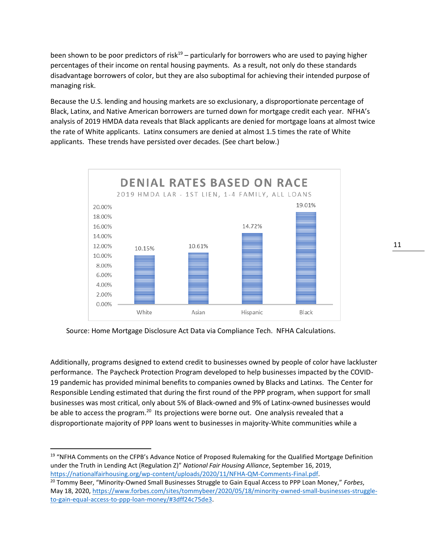been shown to be poor predictors of risk<sup>19</sup> – particularly for borrowers who are used to paying higher percentages of their income on rental housing payments. As a result, not only do these standards disadvantage borrowers of color, but they are also suboptimal for achieving their intended purpose of managing risk.

Because the U.S. lending and housing markets are so exclusionary, a disproportionate percentage of Black, Latinx, and Native American borrowers are turned down for mortgage credit each year. NFHA's analysis of 2019 HMDA data reveals that Black applicants are denied for mortgage loans at almost twice the rate of White applicants. Latinx consumers are denied at almost 1.5 times the rate of White applicants. These trends have persisted over decades. (See chart below.)



Source: Home Mortgage Disclosure Act Data via Compliance Tech. NFHA Calculations.

Additionally, programs designed to extend credit to businesses owned by people of color have lackluster performance. The Paycheck Protection Program developed to help businesses impacted by the COVID-19 pandemic has provided minimal benefits to companies owned by Blacks and Latinxs. The Center for Responsible Lending estimated that during the first round of the PPP program, when support for small businesses was most critical, only about 5% of Black-owned and 9% of Latinx-owned businesses would be able to access the program.<sup>20</sup> Its projections were borne out. One analysis revealed that a disproportionate majority of PPP loans went to businesses in majority-White communities while a

<sup>&</sup>lt;sup>19</sup> "NFHA Comments on the CFPB's Advance Notice of Proposed Rulemaking for the Qualified Mortgage Definition under the Truth in Lending Act (Regulation Z)" *National Fair Housing Alliance*, September 16, 2019, [https://nationalfairhousing.org/wp-content/uploads/2020/11/NFHA-QM-Comments-Final.pdf.](https://nationalfairhousing.org/wp-content/uploads/2020/11/NFHA-QM-Comments-Final.pdf)

<sup>20</sup> Tommy Beer, "Minority-Owned Small Businesses Struggle to Gain Equal Access to PPP Loan Money," *Forbes*, May 18, 2020, [https://www.forbes.com/sites/tommybeer/2020/05/18/minority-owned-small-businesses-struggle](https://www.forbes.com/sites/tommybeer/2020/05/18/minority-owned-small-businesses-struggle-to-gain-equal-access-to-ppp-loan-money/#3dff24c75de3)[to-gain-equal-access-to-ppp-loan-money/#3dff24c75de3.](https://www.forbes.com/sites/tommybeer/2020/05/18/minority-owned-small-businesses-struggle-to-gain-equal-access-to-ppp-loan-money/#3dff24c75de3)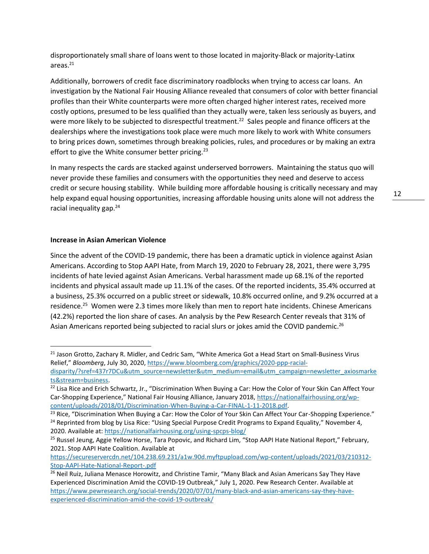disproportionately small share of loans went to those located in majority-Black or majority-Latinx areas. $21$ 

Additionally, borrowers of credit face discriminatory roadblocks when trying to access car loans. An investigation by the National Fair Housing Alliance revealed that consumers of color with better financial profiles than their White counterparts were more often charged higher interest rates, received more costly options, presumed to be less qualified than they actually were, taken less seriously as buyers, and were more likely to be subjected to disrespectful treatment.<sup>22</sup> Sales people and finance officers at the dealerships where the investigations took place were much more likely to work with White consumers to bring prices down, sometimes through breaking policies, rules, and procedures or by making an extra effort to give the White consumer better pricing.<sup>23</sup>

In many respects the cards are stacked against underserved borrowers. Maintaining the status quo will never provide these families and consumers with the opportunities they need and deserve to access credit or secure housing stability. While building more affordable housing is critically necessary and may help expand equal housing opportunities, increasing affordable housing units alone will not address the racial inequality gap.<sup>24</sup>

# **Increase in Asian American Violence**

Since the advent of the COVID-19 pandemic, there has been a dramatic uptick in violence against Asian Americans. According to Stop AAPI Hate, from March 19, 2020 to February 28, 2021, there were 3,795 incidents of hate levied against Asian Americans. Verbal harassment made up 68.1% of the reported incidents and physical assault made up 11.1% of the cases. Of the reported incidents, 35.4% occurred at a business, 25.3% occurred on a public street or sidewalk, 10.8% occurred online, and 9.2% occurred at a residence.<sup>25</sup> Women were 2.3 times more likely than men to report hate incidents. Chinese Americans (42.2%) reported the lion share of cases. An analysis by the Pew Research Center reveals that 31% of Asian Americans reported being subjected to racial slurs or jokes amid the COVID pandemic.<sup>26</sup>

[https://secureservercdn.net/104.238.69.231/a1w.90d.myftpupload.com/wp-content/uploads/2021/03/210312-](https://secureservercdn.net/104.238.69.231/a1w.90d.myftpupload.com/wp-content/uploads/2021/03/210312-Stop-AAPI-Hate-National-Report-.pdf) [Stop-AAPI-Hate-National-Report-.pdf](https://secureservercdn.net/104.238.69.231/a1w.90d.myftpupload.com/wp-content/uploads/2021/03/210312-Stop-AAPI-Hate-National-Report-.pdf)

<sup>&</sup>lt;sup>21</sup> Jason Grotto, Zachary R. Midler, and Cedric Sam, "White America Got a Head Start on Small-Business Virus Relief," *Bloomberg*, July 30, 2020[, https://www.bloomberg.com/graphics/2020-ppp-racial](https://www.bloomberg.com/graphics/2020-ppp-racial-disparity/?sref=437r7DCu&utm_source=newsletter&utm_medium=email&utm_campaign=newsletter_axiosmarkets&stream=business)[disparity/?sref=437r7DCu&utm\\_source=newsletter&utm\\_medium=email&utm\\_campaign=newsletter\\_axiosmarke](https://www.bloomberg.com/graphics/2020-ppp-racial-disparity/?sref=437r7DCu&utm_source=newsletter&utm_medium=email&utm_campaign=newsletter_axiosmarkets&stream=business) [ts&stream=business.](https://www.bloomberg.com/graphics/2020-ppp-racial-disparity/?sref=437r7DCu&utm_source=newsletter&utm_medium=email&utm_campaign=newsletter_axiosmarkets&stream=business) 

<sup>&</sup>lt;sup>22</sup> Lisa Rice and Erich Schwartz, Jr., "Discrimination When Buying a Car: How the Color of Your Skin Can Affect Your Car-Shopping Experience," National Fair Housing Alliance, January 2018, [https://nationalfairhousing.org/wp](https://nationalfairhousing.org/wp-content/uploads/2018/01/Discrimination-When-Buying-a-Car-FINAL-1-11-2018.pdf)[content/uploads/2018/01/Discrimination-When-Buying-a-Car-FINAL-1-11-2018.pdf.](https://nationalfairhousing.org/wp-content/uploads/2018/01/Discrimination-When-Buying-a-Car-FINAL-1-11-2018.pdf) 

<sup>&</sup>lt;sup>23</sup> Rice, "Discrimination When Buying a Car: How the Color of Your Skin Can Affect Your Car-Shopping Experience." <sup>24</sup> Reprinted from blog by Lisa Rice: "Using Special Purpose Credit Programs to Expand Equality," November 4, 2020. Available at:<https://nationalfairhousing.org/using-spcps-blog/>

<sup>&</sup>lt;sup>25</sup> Russel Jeung, Aggie Yellow Horse, Tara Popovic, and Richard Lim, "Stop AAPI Hate National Report," February, 2021. Stop AAPI Hate Coalition. Available at

<sup>&</sup>lt;sup>26</sup> Neil Ruiz, Juliana Menasce Horowitz, and Christine Tamir, "Many Black and Asian Americans Say They Have Experienced Discrimination Amid the COVID-19 Outbreak," July 1, 2020. Pew Research Center. Available at [https://www.pewresearch.org/social-trends/2020/07/01/many-black-and-asian-americans-say-they-have](https://www.pewresearch.org/social-trends/2020/07/01/many-black-and-asian-americans-say-they-have-experienced-discrimination-amid-the-covid-19-outbreak/)[experienced-discrimination-amid-the-covid-19-outbreak/](https://www.pewresearch.org/social-trends/2020/07/01/many-black-and-asian-americans-say-they-have-experienced-discrimination-amid-the-covid-19-outbreak/)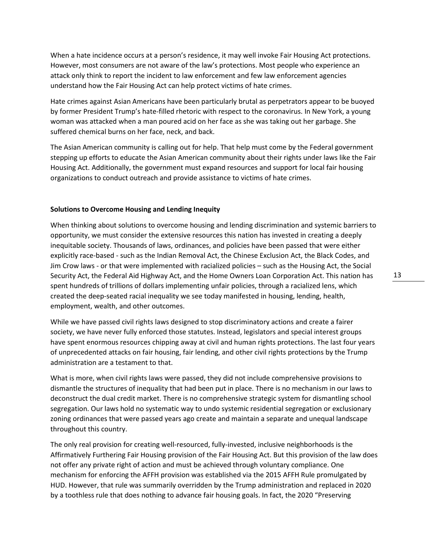When a hate incidence occurs at a person's residence, it may well invoke Fair Housing Act protections. However, most consumers are not aware of the law's protections. Most people who experience an attack only think to report the incident to law enforcement and few law enforcement agencies understand how the Fair Housing Act can help protect victims of hate crimes.

Hate crimes against Asian Americans have been particularly brutal as perpetrators appear to be buoyed by former President Trump's hate-filled rhetoric with respect to the coronavirus. In New York, a young woman was attacked when a man poured acid on her face as she was taking out her garbage. She suffered chemical burns on her face, neck, and back.

The Asian American community is calling out for help. That help must come by the Federal government stepping up efforts to educate the Asian American community about their rights under laws like the Fair Housing Act. Additionally, the government must expand resources and support for local fair housing organizations to conduct outreach and provide assistance to victims of hate crimes.

### **Solutions to Overcome Housing and Lending Inequity**

When thinking about solutions to overcome housing and lending discrimination and systemic barriers to opportunity, we must consider the extensive resources this nation has invested in creating a deeply inequitable society. Thousands of laws, ordinances, and policies have been passed that were either explicitly race-based - such as the Indian Removal Act, the Chinese Exclusion Act, the Black Codes, and Jim Crow laws - or that were implemented with racialized policies – such as the Housing Act, the Social Security Act, the Federal Aid Highway Act, and the Home Owners Loan Corporation Act. This nation has spent hundreds of trillions of dollars implementing unfair policies, through a racialized lens, which created the deep-seated racial inequality we see today manifested in housing, lending, health, employment, wealth, and other outcomes.

While we have passed civil rights laws designed to stop discriminatory actions and create a fairer society, we have never fully enforced those statutes. Instead, legislators and special interest groups have spent enormous resources chipping away at civil and human rights protections. The last four years of unprecedented attacks on fair housing, fair lending, and other civil rights protections by the Trump administration are a testament to that.

What is more, when civil rights laws were passed, they did not include comprehensive provisions to dismantle the structures of inequality that had been put in place. There is no mechanism in our laws to deconstruct the dual credit market. There is no comprehensive strategic system for dismantling school segregation. Our laws hold no systematic way to undo systemic residential segregation or exclusionary zoning ordinances that were passed years ago create and maintain a separate and unequal landscape throughout this country.

The only real provision for creating well-resourced, fully-invested, inclusive neighborhoods is the Affirmatively Furthering Fair Housing provision of the Fair Housing Act. But this provision of the law does not offer any private right of action and must be achieved through voluntary compliance. One mechanism for enforcing the AFFH provision was established via the 2015 AFFH Rule promulgated by HUD. However, that rule was summarily overridden by the Trump administration and replaced in 2020 by a toothless rule that does nothing to advance fair housing goals. In fact, the 2020 "Preserving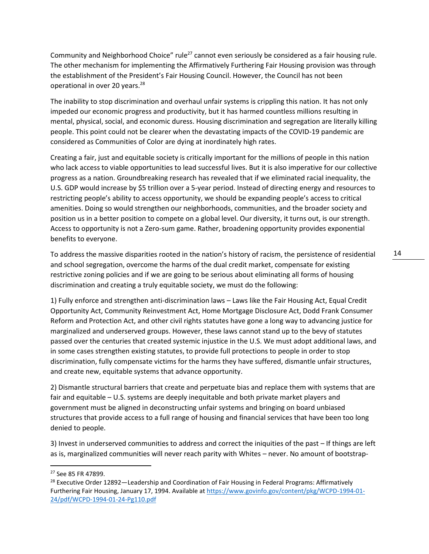Community and Neighborhood Choice" rule<sup>27</sup> cannot even seriously be considered as a fair housing rule. The other mechanism for implementing the Affirmatively Furthering Fair Housing provision was through the establishment of the President's Fair Housing Council. However, the Council has not been operational in over 20 years.<sup>28</sup>

The inability to stop discrimination and overhaul unfair systems is crippling this nation. It has not only impeded our economic progress and productivity, but it has harmed countless millions resulting in mental, physical, social, and economic duress. Housing discrimination and segregation are literally killing people. This point could not be clearer when the devastating impacts of the COVID-19 pandemic are considered as Communities of Color are dying at inordinately high rates.

Creating a fair, just and equitable society is critically important for the millions of people in this nation who lack access to viable opportunities to lead successful lives. But it is also imperative for our collective progress as a nation. Groundbreaking research has revealed that if we eliminated racial inequality, the U.S. GDP would increase by \$5 trillion over a 5-year period. Instead of directing energy and resources to restricting people's ability to access opportunity, we should be expanding people's access to critical amenities. Doing so would strengthen our neighborhoods, communities, and the broader society and position us in a better position to compete on a global level. Our diversity, it turns out, is our strength. Access to opportunity is not a Zero-sum game. Rather, broadening opportunity provides exponential benefits to everyone.

To address the massive disparities rooted in the nation's history of racism, the persistence of residential and school segregation, overcome the harms of the dual credit market, compensate for existing restrictive zoning policies and if we are going to be serious about eliminating all forms of housing discrimination and creating a truly equitable society, we must do the following:

1) Fully enforce and strengthen anti-discrimination laws – Laws like the Fair Housing Act, Equal Credit Opportunity Act, Community Reinvestment Act, Home Mortgage Disclosure Act, Dodd Frank Consumer Reform and Protection Act, and other civil rights statutes have gone a long way to advancing justice for marginalized and underserved groups. However, these laws cannot stand up to the bevy of statutes passed over the centuries that created systemic injustice in the U.S. We must adopt additional laws, and in some cases strengthen existing statutes, to provide full protections to people in order to stop discrimination, fully compensate victims for the harms they have suffered, dismantle unfair structures, and create new, equitable systems that advance opportunity.

2) Dismantle structural barriers that create and perpetuate bias and replace them with systems that are fair and equitable – U.S. systems are deeply inequitable and both private market players and government must be aligned in deconstructing unfair systems and bringing on board unbiased structures that provide access to a full range of housing and financial services that have been too long denied to people.

3) Invest in underserved communities to address and correct the iniquities of the past – If things are left as is, marginalized communities will never reach parity with Whites – never. No amount of bootstrap-

<sup>27</sup> See 85 FR 47899.

<sup>&</sup>lt;sup>28</sup> Executive Order 12892—Leadership and Coordination of Fair Housing in Federal Programs: Affirmatively Furthering Fair Housing, January 17, 1994. Available at [https://www.govinfo.gov/content/pkg/WCPD-1994-01-](https://www.govinfo.gov/content/pkg/WCPD-1994-01-24/pdf/WCPD-1994-01-24-Pg110.pdf) [24/pdf/WCPD-1994-01-24-Pg110.pdf](https://www.govinfo.gov/content/pkg/WCPD-1994-01-24/pdf/WCPD-1994-01-24-Pg110.pdf)